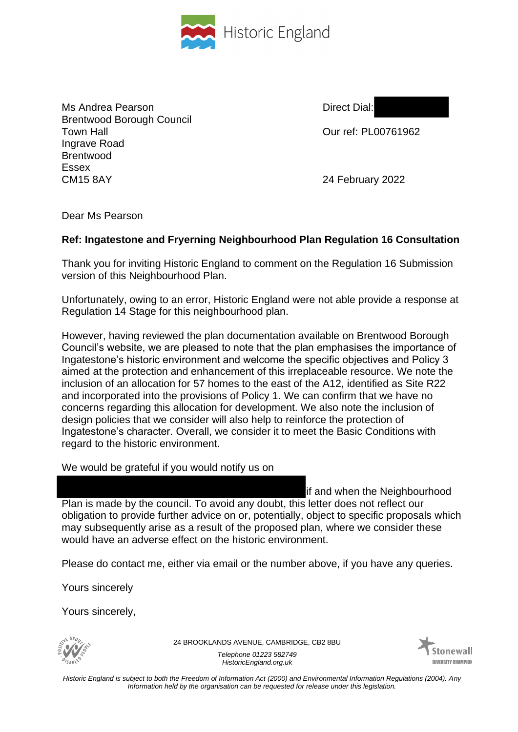

Ms Andrea Pearson **Direct Dial:** Brentwood Borough Council Town Hall Our ref: PL00761962 Ingrave Road Brentwood Essex CM15 8AY 24 February 2022

Dear Ms Pearson

## **Ref: Ingatestone and Fryerning Neighbourhood Plan Regulation 16 Consultation**

Thank you for inviting Historic England to comment on the Regulation 16 Submission version of this Neighbourhood Plan.

Unfortunately, owing to an error, Historic England were not able provide a response at Regulation 14 Stage for this neighbourhood plan.

However, having reviewed the plan documentation available on Brentwood Borough Council's website, we are pleased to note that the plan emphasises the importance of Ingatestone's historic environment and welcome the specific objectives and Policy 3 aimed at the protection and enhancement of this irreplaceable resource. We note the inclusion of an allocation for 57 homes to the east of the A12, identified as Site R22 and incorporated into the provisions of Policy 1. We can confirm that we have no concerns regarding this allocation for development. We also note the inclusion of design policies that we consider will also help to reinforce the protection of Ingatestone's character. Overall, we consider it to meet the Basic Conditions with regard to the historic environment.

We would be grateful if you would notify us on

if and when the Neighbourhood Plan is made by the council. To avoid any doubt, this letter does not reflect our obligation to provide further advice on or, potentially, object to specific proposals which may subsequently arise as a result of the proposed plan, where we consider these would have an adverse effect on the historic environment.

Please do contact me, either via email or the number above, if you have any queries.

Yours sincerely

Yours sincerely,



24 BROOKLANDS AVENUE, CAMBRIDGE, CB2 8BU

*Telephone 01223 582749 HistoricEngland.org.uk*



*Historic England is subject to both the Freedom of Information Act (2000) and Environmental Information Regulations (2004). Any Information held by the organisation can be requested for release under this legislation.*